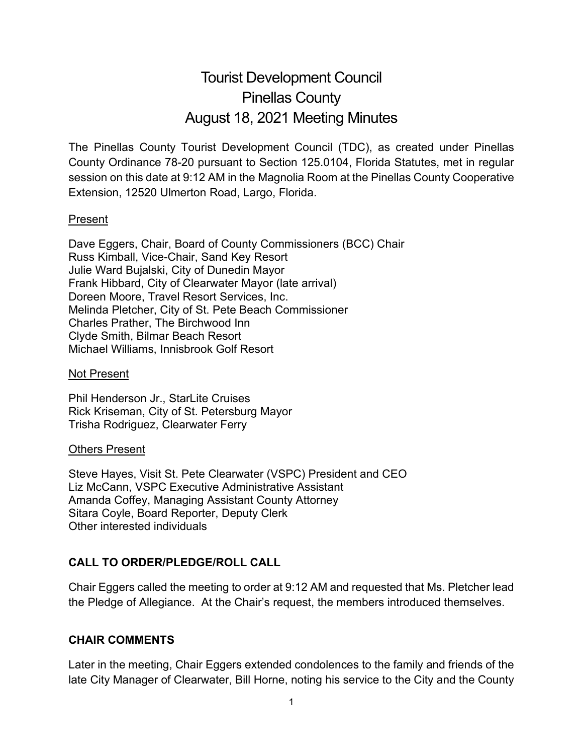# Tourist Development Council Pinellas County August 18, 2021 Meeting Minutes

The Pinellas County Tourist Development Council (TDC), as created under Pinellas County Ordinance 78-20 pursuant to Section 125.0104, Florida Statutes, met in regular session on this date at 9:12 AM in the Magnolia Room at the Pinellas County Cooperative Extension, 12520 Ulmerton Road, Largo, Florida.

#### Present

Dave Eggers, Chair, Board of County Commissioners (BCC) Chair Russ Kimball, Vice-Chair, Sand Key Resort Julie Ward Bujalski, City of Dunedin Mayor Frank Hibbard, City of Clearwater Mayor (late arrival) Doreen Moore, Travel Resort Services, Inc. Melinda Pletcher, City of St. Pete Beach Commissioner Charles Prather, The Birchwood Inn Clyde Smith, Bilmar Beach Resort Michael Williams, Innisbrook Golf Resort

#### Not Present

Phil Henderson Jr., StarLite Cruises Rick Kriseman, City of St. Petersburg Mayor Trisha Rodriguez, Clearwater Ferry

#### Others Present

Steve Hayes, Visit St. Pete Clearwater (VSPC) President and CEO Liz McCann, VSPC Executive Administrative Assistant Amanda Coffey, Managing Assistant County Attorney Sitara Coyle, Board Reporter, Deputy Clerk Other interested individuals

# **CALL TO ORDER/PLEDGE/ROLL CALL**

Chair Eggers called the meeting to order at 9:12 AM and requested that Ms. Pletcher lead the Pledge of Allegiance. At the Chair's request, the members introduced themselves.

# **CHAIR COMMENTS**

Later in the meeting, Chair Eggers extended condolences to the family and friends of the late City Manager of Clearwater, Bill Horne, noting his service to the City and the County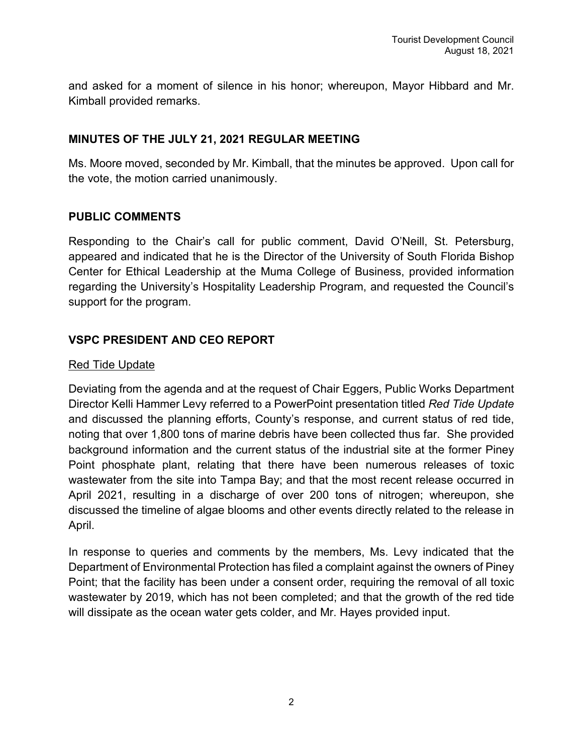and asked for a moment of silence in his honor; whereupon, Mayor Hibbard and Mr. Kimball provided remarks.

#### **MINUTES OF THE JULY 21, 2021 REGULAR MEETING**

Ms. Moore moved, seconded by Mr. Kimball, that the minutes be approved. Upon call for the vote, the motion carried unanimously.

#### **PUBLIC COMMENTS**

Responding to the Chair's call for public comment, David O'Neill, St. Petersburg, appeared and indicated that he is the Director of the University of South Florida Bishop Center for Ethical Leadership at the Muma College of Business, provided information regarding the University's Hospitality Leadership Program, and requested the Council's support for the program.

# **VSPC PRESIDENT AND CEO REPORT**

#### Red Tide Update

Deviating from the agenda and at the request of Chair Eggers, Public Works Department Director Kelli Hammer Levy referred to a PowerPoint presentation titled *Red Tide Update* and discussed the planning efforts, County's response, and current status of red tide, noting that over 1,800 tons of marine debris have been collected thus far. She provided background information and the current status of the industrial site at the former Piney Point phosphate plant, relating that there have been numerous releases of toxic wastewater from the site into Tampa Bay; and that the most recent release occurred in April 2021, resulting in a discharge of over 200 tons of nitrogen; whereupon, she discussed the timeline of algae blooms and other events directly related to the release in April.

In response to queries and comments by the members, Ms. Levy indicated that the Department of Environmental Protection has filed a complaint against the owners of Piney Point; that the facility has been under a consent order, requiring the removal of all toxic wastewater by 2019, which has not been completed; and that the growth of the red tide will dissipate as the ocean water gets colder, and Mr. Hayes provided input.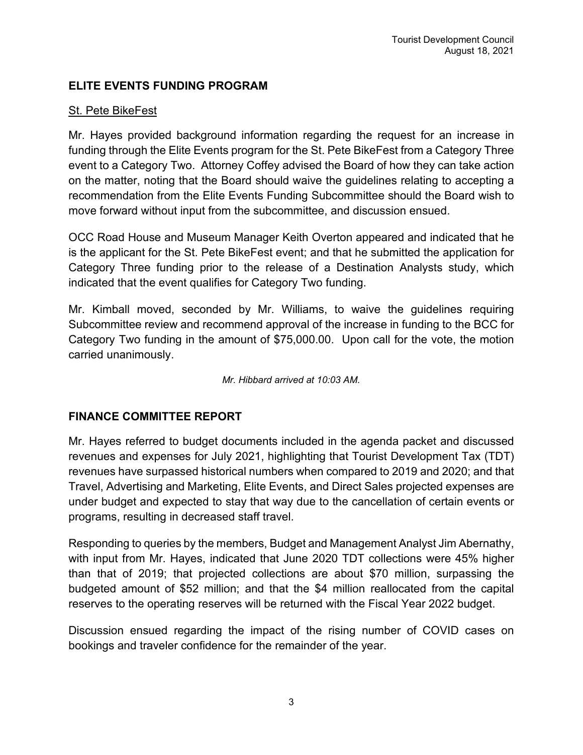# **ELITE EVENTS FUNDING PROGRAM**

## St. Pete BikeFest

Mr. Hayes provided background information regarding the request for an increase in funding through the Elite Events program for the St. Pete BikeFest from a Category Three event to a Category Two. Attorney Coffey advised the Board of how they can take action on the matter, noting that the Board should waive the guidelines relating to accepting a recommendation from the Elite Events Funding Subcommittee should the Board wish to move forward without input from the subcommittee, and discussion ensued.

OCC Road House and Museum Manager Keith Overton appeared and indicated that he is the applicant for the St. Pete BikeFest event; and that he submitted the application for Category Three funding prior to the release of a Destination Analysts study, which indicated that the event qualifies for Category Two funding.

Mr. Kimball moved, seconded by Mr. Williams, to waive the guidelines requiring Subcommittee review and recommend approval of the increase in funding to the BCC for Category Two funding in the amount of \$75,000.00. Upon call for the vote, the motion carried unanimously.

*Mr. Hibbard arrived at 10:03 AM.*

# **FINANCE COMMITTEE REPORT**

Mr. Hayes referred to budget documents included in the agenda packet and discussed revenues and expenses for July 2021, highlighting that Tourist Development Tax (TDT) revenues have surpassed historical numbers when compared to 2019 and 2020; and that Travel, Advertising and Marketing, Elite Events, and Direct Sales projected expenses are under budget and expected to stay that way due to the cancellation of certain events or programs, resulting in decreased staff travel.

Responding to queries by the members, Budget and Management Analyst Jim Abernathy, with input from Mr. Hayes, indicated that June 2020 TDT collections were 45% higher than that of 2019; that projected collections are about \$70 million, surpassing the budgeted amount of \$52 million; and that the \$4 million reallocated from the capital reserves to the operating reserves will be returned with the Fiscal Year 2022 budget.

Discussion ensued regarding the impact of the rising number of COVID cases on bookings and traveler confidence for the remainder of the year.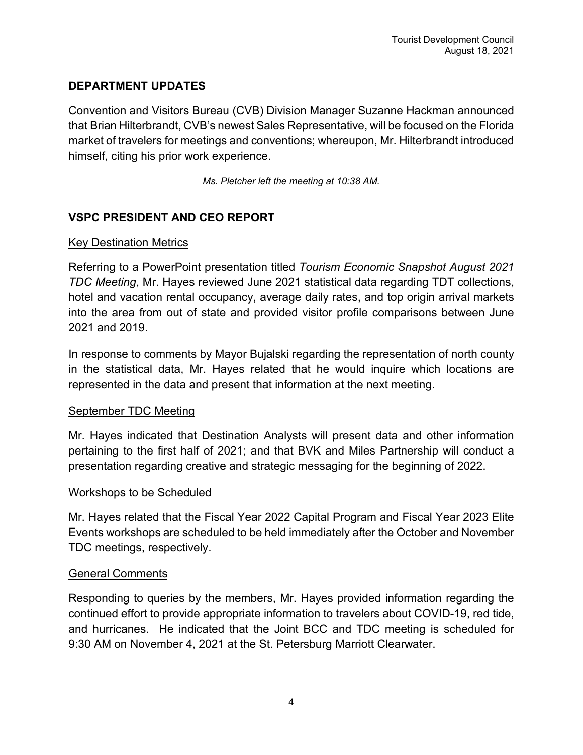# **DEPARTMENT UPDATES**

Convention and Visitors Bureau (CVB) Division Manager Suzanne Hackman announced that Brian Hilterbrandt, CVB's newest Sales Representative, will be focused on the Florida market of travelers for meetings and conventions; whereupon, Mr. Hilterbrandt introduced himself, citing his prior work experience.

*Ms. Pletcher left the meeting at 10:38 AM.*

# **VSPC PRESIDENT AND CEO REPORT**

#### Key Destination Metrics

Referring to a PowerPoint presentation titled *Tourism Economic Snapshot August 2021 TDC Meeting*, Mr. Hayes reviewed June 2021 statistical data regarding TDT collections, hotel and vacation rental occupancy, average daily rates, and top origin arrival markets into the area from out of state and provided visitor profile comparisons between June 2021 and 2019.

In response to comments by Mayor Bujalski regarding the representation of north county in the statistical data, Mr. Hayes related that he would inquire which locations are represented in the data and present that information at the next meeting.

#### September TDC Meeting

Mr. Hayes indicated that Destination Analysts will present data and other information pertaining to the first half of 2021; and that BVK and Miles Partnership will conduct a presentation regarding creative and strategic messaging for the beginning of 2022.

#### Workshops to be Scheduled

Mr. Hayes related that the Fiscal Year 2022 Capital Program and Fiscal Year 2023 Elite Events workshops are scheduled to be held immediately after the October and November TDC meetings, respectively.

#### General Comments

Responding to queries by the members, Mr. Hayes provided information regarding the continued effort to provide appropriate information to travelers about COVID-19, red tide, and hurricanes. He indicated that the Joint BCC and TDC meeting is scheduled for 9:30 AM on November 4, 2021 at the St. Petersburg Marriott Clearwater.